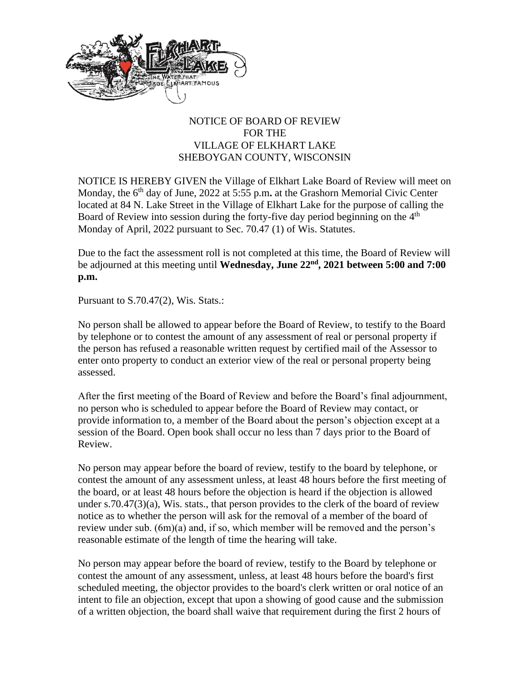

## NOTICE OF BOARD OF REVIEW FOR THE VILLAGE OF ELKHART LAKE SHEBOYGAN COUNTY, WISCONSIN

NOTICE IS HEREBY GIVEN the Village of Elkhart Lake Board of Review will meet on Monday, the 6<sup>th</sup> day of June, 2022 at 5:55 p.m. at the Grashorn Memorial Civic Center located at 84 N. Lake Street in the Village of Elkhart Lake for the purpose of calling the Board of Review into session during the forty-five day period beginning on the  $4<sup>th</sup>$ Monday of April, 2022 pursuant to Sec. 70.47 (1) of Wis. Statutes.

Due to the fact the assessment roll is not completed at this time, the Board of Review will be adjourned at this meeting until Wednesday, June 22<sup>nd</sup>, 2021 between 5:00 and 7:00 **p.m.** 

Pursuant to S.70.47(2), Wis. Stats.:

No person shall be allowed to appear before the Board of Review, to testify to the Board by telephone or to contest the amount of any assessment of real or personal property if the person has refused a reasonable written request by certified mail of the Assessor to enter onto property to conduct an exterior view of the real or personal property being assessed.

After the first meeting of the Board of Review and before the Board's final adjournment, no person who is scheduled to appear before the Board of Review may contact, or provide information to, a member of the Board about the person's objection except at a session of the Board. Open book shall occur no less than 7 days prior to the Board of Review.

No person may appear before the board of review, testify to the board by telephone, or contest the amount of any assessment unless, at least 48 hours before the first meeting of the board, or at least 48 hours before the objection is heard if the objection is allowed under s.70.47 $(3)(a)$ , Wis. stats., that person provides to the clerk of the board of review notice as to whether the person will ask for the removal of a member of the board of review under sub. (6m)(a) and, if so, which member will be removed and the person's reasonable estimate of the length of time the hearing will take.

No person may appear before the board of review, testify to the Board by telephone or contest the amount of any assessment, unless, at least 48 hours before the board's first scheduled meeting, the objector provides to the board's clerk written or oral notice of an intent to file an objection, except that upon a showing of good cause and the submission of a written objection, the board shall waive that requirement during the first 2 hours of